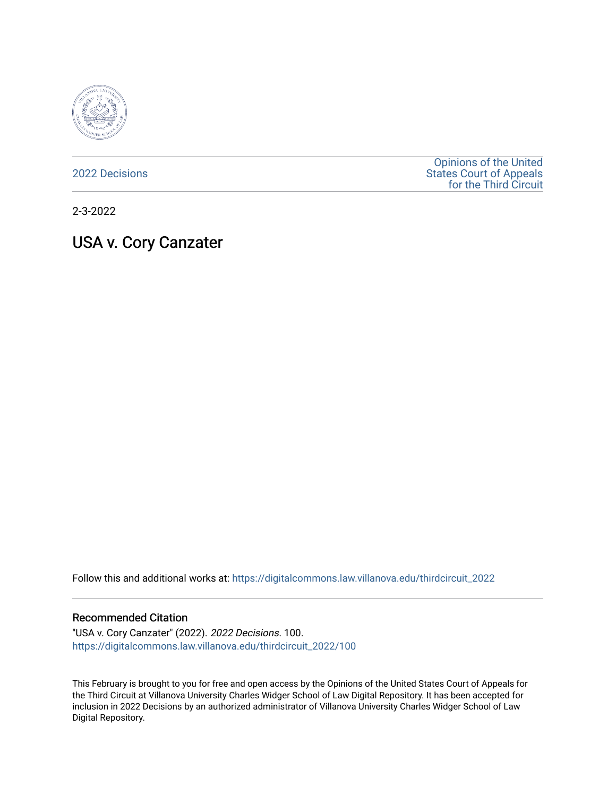

[2022 Decisions](https://digitalcommons.law.villanova.edu/thirdcircuit_2022)

[Opinions of the United](https://digitalcommons.law.villanova.edu/thirdcircuit)  [States Court of Appeals](https://digitalcommons.law.villanova.edu/thirdcircuit)  [for the Third Circuit](https://digitalcommons.law.villanova.edu/thirdcircuit) 

2-3-2022

# USA v. Cory Canzater

Follow this and additional works at: [https://digitalcommons.law.villanova.edu/thirdcircuit\\_2022](https://digitalcommons.law.villanova.edu/thirdcircuit_2022?utm_source=digitalcommons.law.villanova.edu%2Fthirdcircuit_2022%2F100&utm_medium=PDF&utm_campaign=PDFCoverPages) 

#### Recommended Citation

"USA v. Cory Canzater" (2022). 2022 Decisions. 100. [https://digitalcommons.law.villanova.edu/thirdcircuit\\_2022/100](https://digitalcommons.law.villanova.edu/thirdcircuit_2022/100?utm_source=digitalcommons.law.villanova.edu%2Fthirdcircuit_2022%2F100&utm_medium=PDF&utm_campaign=PDFCoverPages)

This February is brought to you for free and open access by the Opinions of the United States Court of Appeals for the Third Circuit at Villanova University Charles Widger School of Law Digital Repository. It has been accepted for inclusion in 2022 Decisions by an authorized administrator of Villanova University Charles Widger School of Law Digital Repository.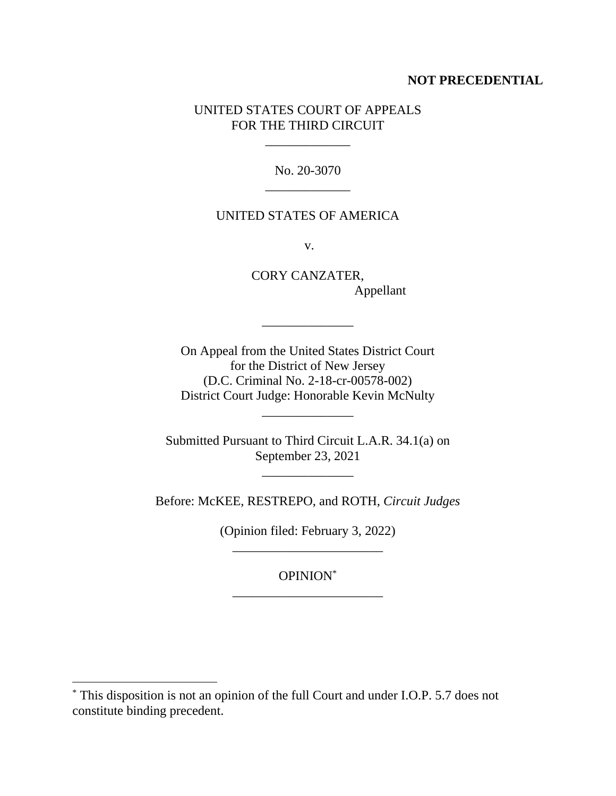## **NOT PRECEDENTIAL**

# UNITED STATES COURT OF APPEALS FOR THE THIRD CIRCUIT

\_\_\_\_\_\_\_\_\_\_\_\_\_

No. 20-3070 \_\_\_\_\_\_\_\_\_\_\_\_\_

## UNITED STATES OF AMERICA

v.

CORY CANZATER, Appellant

 $\sim$   $\sim$   $\sim$   $\sim$   $\sim$   $\sim$ 

On Appeal from the United States District Court for the District of New Jersey (D.C. Criminal No. 2-18-cr-00578-002) District Court Judge: Honorable Kevin McNulty

\_\_\_\_\_\_\_\_\_\_\_\_\_\_

Submitted Pursuant to Third Circuit L.A.R. 34.1(a) on September 23, 2021

 $\frac{1}{2}$  ,  $\frac{1}{2}$  ,  $\frac{1}{2}$  ,  $\frac{1}{2}$  ,  $\frac{1}{2}$  ,  $\frac{1}{2}$  ,  $\frac{1}{2}$  ,  $\frac{1}{2}$  ,  $\frac{1}{2}$ 

Before: McKEE, RESTREPO, and ROTH, *Circuit Judges*

(Opinion filed: February 3, 2022) \_\_\_\_\_\_\_\_\_\_\_\_\_\_\_\_\_\_\_\_\_\_\_

OPINION\* \_\_\_\_\_\_\_\_\_\_\_\_\_\_\_\_\_\_\_\_\_\_\_

<sup>\*</sup> This disposition is not an opinion of the full Court and under I.O.P. 5.7 does not constitute binding precedent.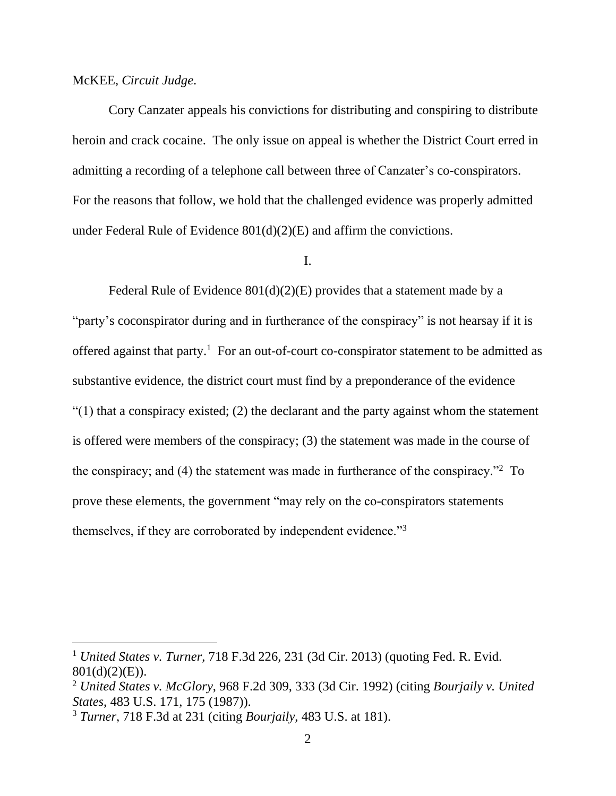## McKEE, *Circuit Judge*.

Cory Canzater appeals his convictions for distributing and conspiring to distribute heroin and crack cocaine. The only issue on appeal is whether the District Court erred in admitting a recording of a telephone call between three of Canzater's co-conspirators. For the reasons that follow, we hold that the challenged evidence was properly admitted under Federal Rule of Evidence 801(d)(2)(E) and affirm the convictions.

I.

Federal Rule of Evidence 801(d)(2)(E) provides that a statement made by a "party's coconspirator during and in furtherance of the conspiracy" is not hearsay if it is offered against that party. <sup>1</sup> For an out-of-court co-conspirator statement to be admitted as substantive evidence, the district court must find by a preponderance of the evidence  $\degree$ (1) that a conspiracy existed; (2) the declarant and the party against whom the statement is offered were members of the conspiracy; (3) the statement was made in the course of the conspiracy; and (4) the statement was made in furtherance of the conspiracy."<sup>2</sup> To prove these elements, the government "may rely on the co-conspirators statements themselves, if they are corroborated by independent evidence."<sup>3</sup>

<sup>1</sup> *United States v. Turner*, 718 F.3d 226, 231 (3d Cir. 2013) (quoting Fed. R. Evid. 801(d)(2)(E)).

<sup>2</sup> *United States v. McGlory*, 968 F.2d 309, 333 (3d Cir. 1992) (citing *Bourjaily v. United States*, 483 U.S. 171, 175 (1987)).

<sup>3</sup> *Turner*, 718 F.3d at 231 (citing *Bourjaily*, 483 U.S. at 181).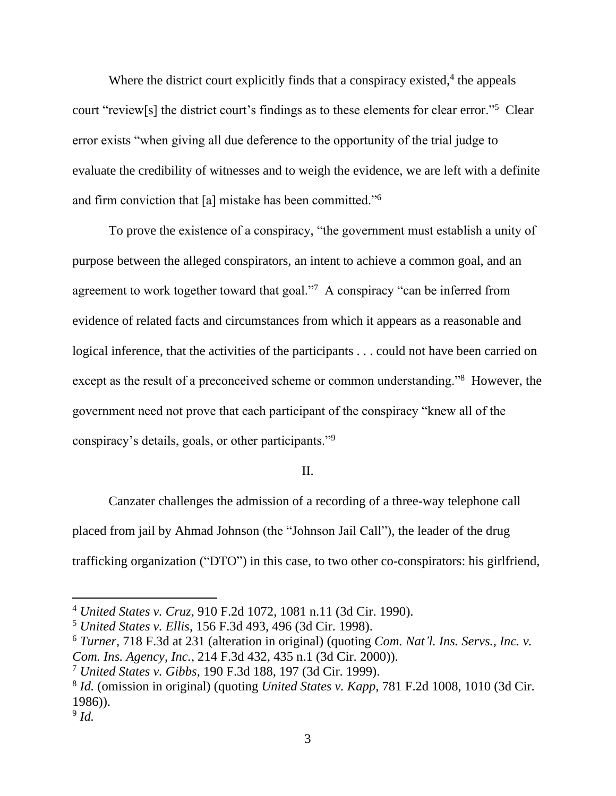Where the district court explicitly finds that a conspiracy existed, $4$  the appeals court "review[s] the district court's findings as to these elements for clear error."<sup>5</sup> Clear error exists "when giving all due deference to the opportunity of the trial judge to evaluate the credibility of witnesses and to weigh the evidence, we are left with a definite and firm conviction that [a] mistake has been committed."<sup>6</sup>

To prove the existence of a conspiracy, "the government must establish a unity of purpose between the alleged conspirators, an intent to achieve a common goal, and an agreement to work together toward that goal."<sup>7</sup> A conspiracy "can be inferred from evidence of related facts and circumstances from which it appears as a reasonable and logical inference, that the activities of the participants . . . could not have been carried on except as the result of a preconceived scheme or common understanding."<sup>8</sup> However, the government need not prove that each participant of the conspiracy "knew all of the conspiracy's details, goals, or other participants."<sup>9</sup>

## II.

Canzater challenges the admission of a recording of a three-way telephone call placed from jail by Ahmad Johnson (the "Johnson Jail Call"), the leader of the drug trafficking organization ("DTO") in this case, to two other co-conspirators: his girlfriend,

<sup>4</sup> *United States v. Cruz*, 910 F.2d 1072, 1081 n.11 (3d Cir. 1990).

<sup>5</sup> *United States v. Ellis*, 156 F.3d 493, 496 (3d Cir. 1998).

<sup>6</sup> *Turner*, 718 F.3d at 231 (alteration in original) (quoting *Com. Nat'l. Ins. Servs., Inc. v. Com. Ins. Agency, Inc.*, 214 F.3d 432, 435 n.1 (3d Cir. 2000)).

<sup>7</sup> *United States v. Gibbs*, 190 F.3d 188, 197 (3d Cir. 1999).

<sup>8</sup> *Id.* (omission in original) (quoting *United States v. Kapp*, 781 F.2d 1008, 1010 (3d Cir. 1986)).

<sup>9</sup> *Id.*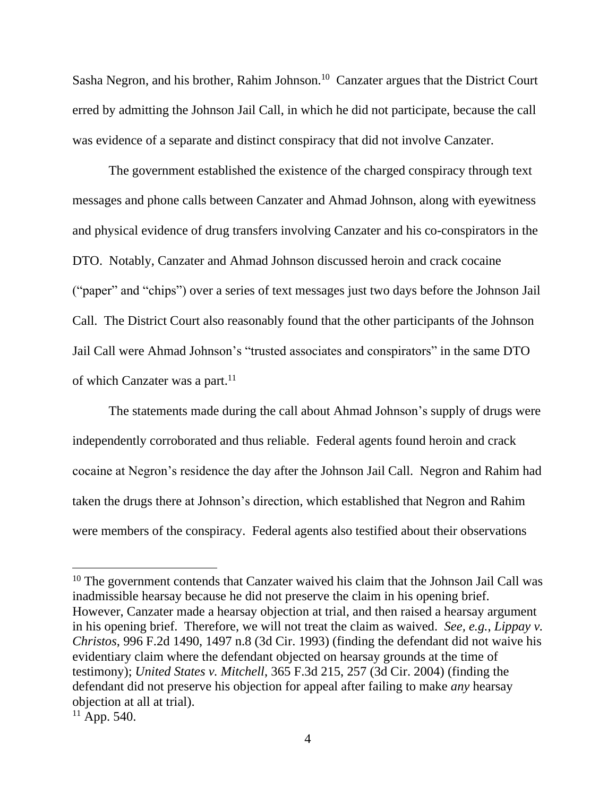Sasha Negron, and his brother, Rahim Johnson.<sup>10</sup> Canzater argues that the District Court erred by admitting the Johnson Jail Call, in which he did not participate, because the call was evidence of a separate and distinct conspiracy that did not involve Canzater.

The government established the existence of the charged conspiracy through text messages and phone calls between Canzater and Ahmad Johnson, along with eyewitness and physical evidence of drug transfers involving Canzater and his co-conspirators in the DTO. Notably, Canzater and Ahmad Johnson discussed heroin and crack cocaine ("paper" and "chips") over a series of text messages just two days before the Johnson Jail Call. The District Court also reasonably found that the other participants of the Johnson Jail Call were Ahmad Johnson's "trusted associates and conspirators" in the same DTO of which Canzater was a part.<sup>11</sup>

The statements made during the call about Ahmad Johnson's supply of drugs were independently corroborated and thus reliable. Federal agents found heroin and crack cocaine at Negron's residence the day after the Johnson Jail Call. Negron and Rahim had taken the drugs there at Johnson's direction, which established that Negron and Rahim were members of the conspiracy. Federal agents also testified about their observations

<sup>&</sup>lt;sup>10</sup> The government contends that Canzater waived his claim that the Johnson Jail Call was inadmissible hearsay because he did not preserve the claim in his opening brief. However, Canzater made a hearsay objection at trial, and then raised a hearsay argument in his opening brief. Therefore, we will not treat the claim as waived. *See, e.g.*, *Lippay v. Christos*, 996 F.2d 1490, 1497 n.8 (3d Cir. 1993) (finding the defendant did not waive his evidentiary claim where the defendant objected on hearsay grounds at the time of testimony); *United States v. Mitchell*, 365 F.3d 215, 257 (3d Cir. 2004) (finding the defendant did not preserve his objection for appeal after failing to make *any* hearsay objection at all at trial).

 $11$  App. 540.